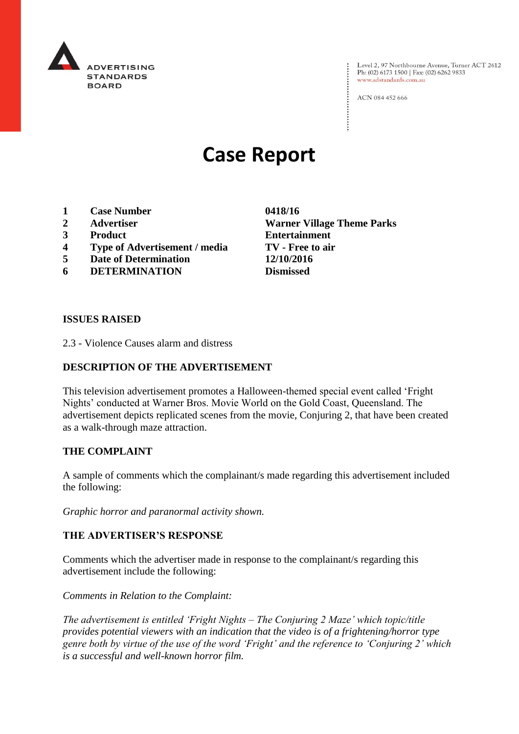

Level 2, 97 Northbourne Avenue, Turner ACT 2612<br>Ph: (02) 6173 1500 | Fax: (02) 6262 9833 www.adstandards.com.au

ACN 084 452 666

# **Case Report**

- **1 Case Number 0418/16**
- 
- 
- **4 Type of Advertisement / media TV - Free to air**
- **5 Date of Determination 12/10/2016**
- **6 DETERMINATION Dismissed**

**2 Advertiser Warner Village Theme Parks 3 Product Entertainment**

## **ISSUES RAISED**

2.3 - Violence Causes alarm and distress

# **DESCRIPTION OF THE ADVERTISEMENT**

This television advertisement promotes a Halloween-themed special event called 'Fright Nights' conducted at Warner Bros. Movie World on the Gold Coast, Queensland. The advertisement depicts replicated scenes from the movie, Conjuring 2, that have been created as a walk-through maze attraction.

#### **THE COMPLAINT**

A sample of comments which the complainant/s made regarding this advertisement included the following:

*Graphic horror and paranormal activity shown.*

## **THE ADVERTISER'S RESPONSE**

Comments which the advertiser made in response to the complainant/s regarding this advertisement include the following:

*Comments in Relation to the Complaint:*

*The advertisement is entitled 'Fright Nights – The Conjuring 2 Maze' which topic/title provides potential viewers with an indication that the video is of a frightening/horror type genre both by virtue of the use of the word 'Fright' and the reference to 'Conjuring 2' which is a successful and well-known horror film.*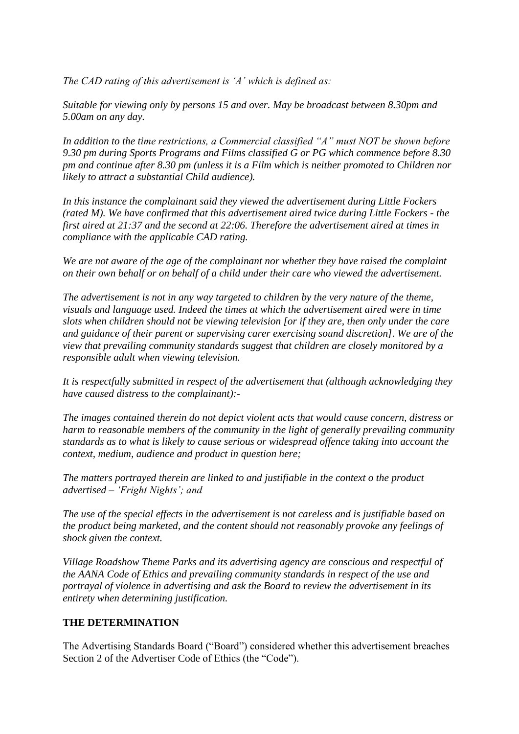*The CAD rating of this advertisement is 'A' which is defined as:*

*Suitable for viewing only by persons 15 and over. May be broadcast between 8.30pm and 5.00am on any day.*

*In addition to the time restrictions, a Commercial classified "A" must NOT be shown before 9.30 pm during Sports Programs and Films classified G or PG which commence before 8.30 pm and continue after 8.30 pm (unless it is a Film which is neither promoted to Children nor likely to attract a substantial Child audience).*

*In this instance the complainant said they viewed the advertisement during Little Fockers (rated M). We have confirmed that this advertisement aired twice during Little Fockers - the first aired at 21:37 and the second at 22:06. Therefore the advertisement aired at times in compliance with the applicable CAD rating.*

*We are not aware of the age of the complainant nor whether they have raised the complaint on their own behalf or on behalf of a child under their care who viewed the advertisement.*

*The advertisement is not in any way targeted to children by the very nature of the theme, visuals and language used. Indeed the times at which the advertisement aired were in time slots when children should not be viewing television [or if they are, then only under the care and guidance of their parent or supervising carer exercising sound discretion]. We are of the view that prevailing community standards suggest that children are closely monitored by a responsible adult when viewing television.*

*It is respectfully submitted in respect of the advertisement that (although acknowledging they have caused distress to the complainant):-*

*The images contained therein do not depict violent acts that would cause concern, distress or harm to reasonable members of the community in the light of generally prevailing community standards as to what is likely to cause serious or widespread offence taking into account the context, medium, audience and product in question here;*

*The matters portrayed therein are linked to and justifiable in the context o the product advertised – 'Fright Nights'; and*

*The use of the special effects in the advertisement is not careless and is justifiable based on the product being marketed, and the content should not reasonably provoke any feelings of shock given the context.*

*Village Roadshow Theme Parks and its advertising agency are conscious and respectful of the AANA Code of Ethics and prevailing community standards in respect of the use and portrayal of violence in advertising and ask the Board to review the advertisement in its entirety when determining justification.*

# **THE DETERMINATION**

The Advertising Standards Board ("Board") considered whether this advertisement breaches Section 2 of the Advertiser Code of Ethics (the "Code").